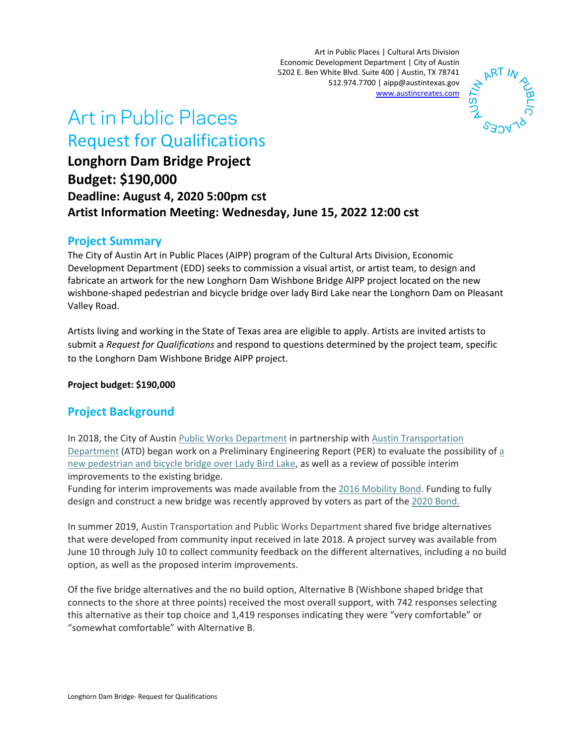Art in Public Places | Cultural Arts Division Economic Development Department | City of Austin 5202 E. Ben White Blvd. Suite 400 | Austin, TX 78741 512.974.7700 | aipp@austintexas.gov [www.austincreates.com](http://www.austincreates.com/) 



# Art in Public Places Request for Qualifications

**Longhorn Dam Bridge Project Budget: \$190,000 Deadline: August 4, 2020 5:00pm cst Artist Information Meeting: Wednesday, June 15, 2022 12:00 cst**

## **Project Summary**

The City of Austin Art in Public Places (AIPP) program of the Cultural Arts Division, Economic Development Department (EDD) seeks to commission a visual artist, or artist team, to design and fabricate an artwork for the new Longhorn Dam Wishbone Bridge AIPP project located on the new wishbone-shaped pedestrian and bicycle bridge over lady Bird Lake near the Longhorn Dam on Pleasant Valley Road.

Artists living and working in the State of Texas area are eligible to apply. Artists are invited artists to submit a *Request for Qualifications* and respond to questions determined by the project team, specific to the Longhorn Dam Wishbone Bridge AIPP project.

#### **Project budget: \$190,000**

## **Project Background**

In 2018, the City of Austin Public [Works Department](http://www.austintexas.gov/department/public-works) in partnership with Austin [Transportation](http://www.austintexas.gov/department/transportation) [Department](http://www.austintexas.gov/department/transportation) (ATD) began work on a Preliminary Engineering Report (PER) to evaluate the possibility of [a](https://data.austintexas.gov/stories/s/New-Longhorn-Dam-Bridge/5fi6-ptzk)  new pedestrian and bicycle [bridge over Lady Bird Lake,](https://data.austintexas.gov/stories/s/New-Longhorn-Dam-Bridge/5fi6-ptzk) as well as a review of possible interim improvements to the existing bridge.

Funding for interim improvements was made available from the [2016 Mobility Bond.](https://data.austintexas.gov/stories/s/2016-Mobility-Bond/9krn-a66r/) Funding to fully design and construct a new bridge was recently approved by voters as part of the 2020 [Bond.](https://www.austintexas.gov/2020bond)

In summer 2019, Austin Transportation and Public Works Department shared five bridge alternatives that were developed from community input received in late 2018. A project survey was available from June 10 through July 10 to collect community feedback on the different alternatives, including a no build option, as well as the proposed interim improvements.

Of the five bridge alternatives and the no build option, Alternative B (Wishbone shaped bridge that connects to the shore at three points) received the most overall support, with 742 responses selecting this alternative as their top choice and 1,419 responses indicating they were "very comfortable" or "somewhat comfortable" with Alternative B.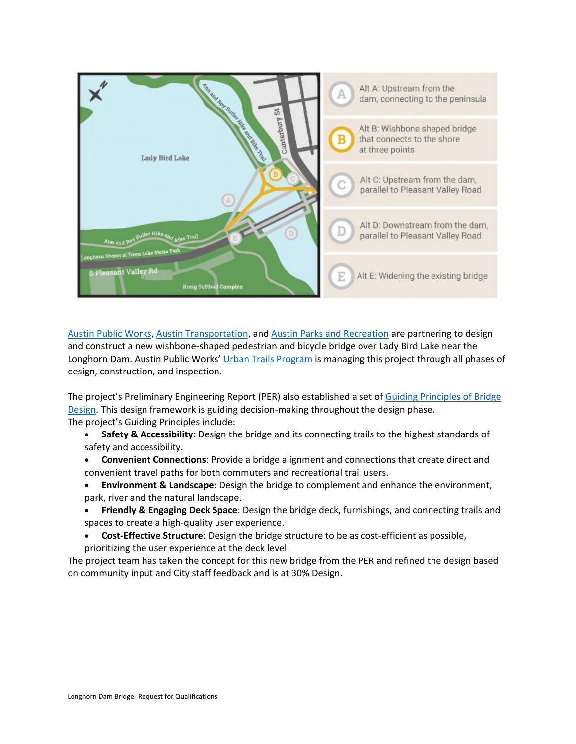

[Austin Public Works,](http://austintexas.gov/PublicWorks) [Austin Transportation,](http://austintexas.gov/Transportation) and [Austin Parks and Recreation](https://austintexas.gov/Parks) are partnering to design and construct a new wishbone-shaped pedestrian and bicycle bridge over Lady Bird Lake near the Longhorn Dam. Austin Public Works[' Urban Trails Program](http://austintexas.gov/UrbanTrails) is managing this project through all phases of design, construction, and inspection.

The project's Preliminary Engineering Report (PER) also established a set of [Guiding Principles of Bridge](https://www.austintexas.gov/sites/default/files/files/Longhorn_Dam_Final_Open_House_Boards_Combined-compressed.pdf#page=7)  [Design.](https://www.austintexas.gov/sites/default/files/files/Longhorn_Dam_Final_Open_House_Boards_Combined-compressed.pdf#page=7) This design framework is guiding decision-making throughout the design phase. The project's Guiding Principles include:

- **Safety & Accessibility**: Design the bridge and its connecting trails to the highest standards of safety and accessibility.
- **Convenient Connections**: Provide a bridge alignment and connections that create direct and convenient travel paths for both commuters and recreational trail users.
- **Environment & Landscape**: Design the bridge to complement and enhance the environment, park, river and the natural landscape.
- **Friendly & Engaging Deck Space**: Design the bridge deck, furnishings, and connecting trails and spaces to create a high-quality user experience.
- **Cost-Effective Structure**: Design the bridge structure to be as cost-efficient as possible, prioritizing the user experience at the deck level.

The project team has taken the concept for this new bridge from the PER and refined the design based on community input and City staff feedback and is at 30% Design.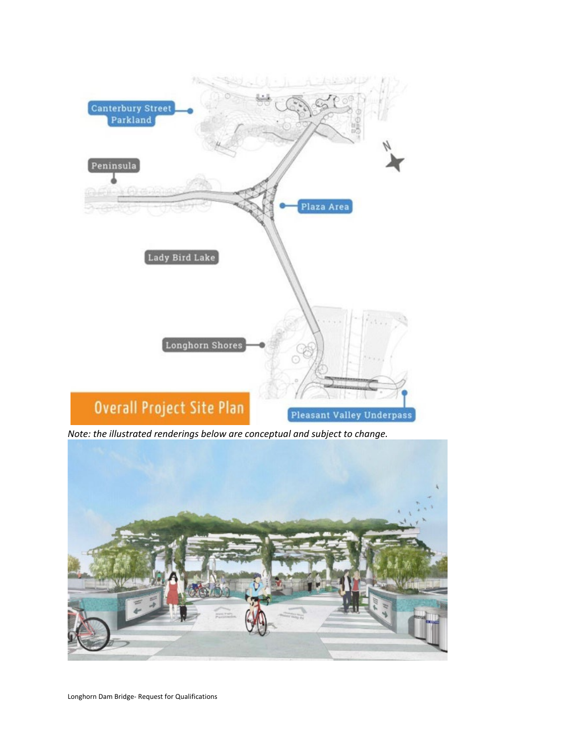

*Note: the illustrated renderings below are conceptual and subject to change.*

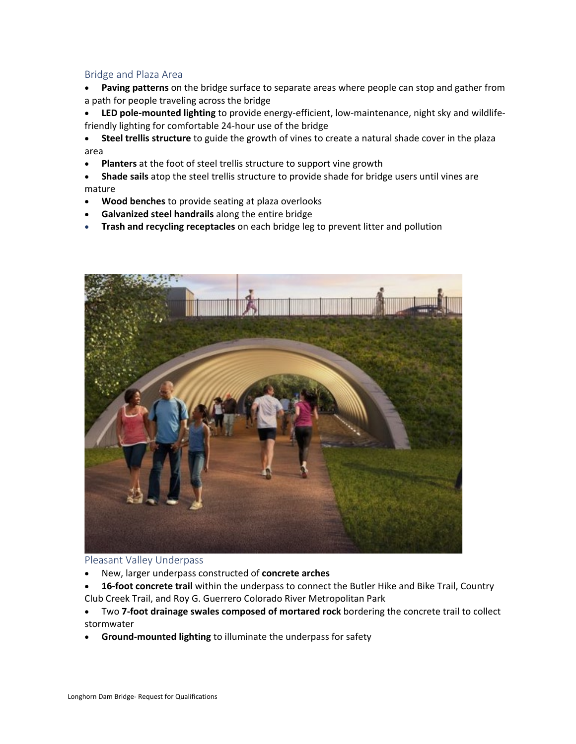#### Bridge and Plaza Area

- **Paving patterns** on the bridge surface to separate areas where people can stop and gather from a path for people traveling across the bridge
- **LED pole-mounted lighting** to provide energy-efficient, low-maintenance, night sky and wildlifefriendly lighting for comfortable 24-hour use of the bridge

• **Steel trellis structure** to guide the growth of vines to create a natural shade cover in the plaza area

- **Planters** at the foot of steel trellis structure to support vine growth
- **Shade sails** atop the steel trellis structure to provide shade for bridge users until vines are mature
- **Wood benches** to provide seating at plaza overlooks
- **Galvanized steel handrails** along the entire bridge
- **Trash and recycling receptacles** on each bridge leg to prevent litter and pollution



#### Pleasant Valley Underpass

- New, larger underpass constructed of **concrete arches**
- **16-foot concrete trail** within the underpass to connect the Butler Hike and Bike Trail, Country Club Creek Trail, and Roy G. Guerrero Colorado River Metropolitan Park
- Two **7-foot drainage swales composed of mortared rock** bordering the concrete trail to collect stormwater
- **Ground-mounted lighting** to illuminate the underpass for safety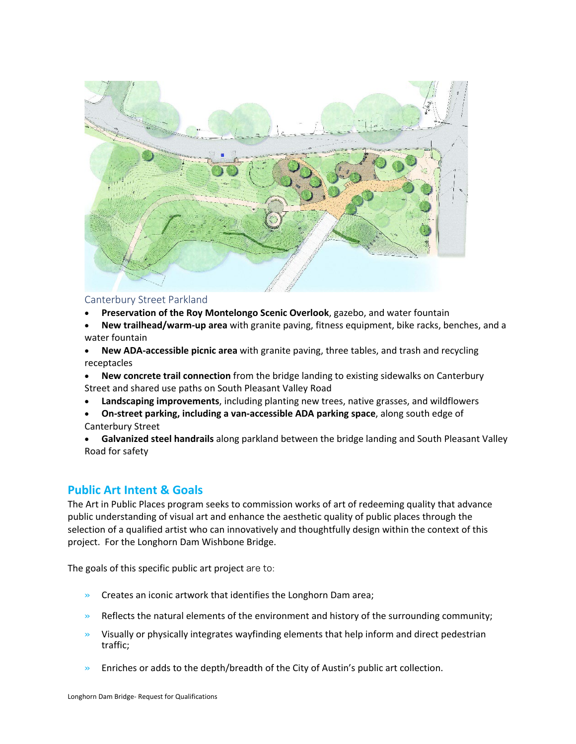

#### Canterbury Street Parkland

- **Preservation of the Roy Montelongo Scenic Overlook**, gazebo, and water fountain
- **New trailhead/warm-up area** with granite paving, fitness equipment, bike racks, benches, and a water fountain
- **New ADA-accessible picnic area** with granite paving, three tables, and trash and recycling receptacles
- **New concrete trail connection** from the bridge landing to existing sidewalks on Canterbury Street and shared use paths on South Pleasant Valley Road
- **Landscaping improvements**, including planting new trees, native grasses, and wildflowers
- **On-street parking, including a van-accessible ADA parking space**, along south edge of Canterbury Street
- **Galvanized steel handrails** along parkland between the bridge landing and South Pleasant Valley Road for safety

#### **Public Art Intent & Goals**

The Art in Public Places program seeks to commission works of art of redeeming quality that advance public understanding of visual art and enhance the aesthetic quality of public places through the selection of a qualified artist who can innovatively and thoughtfully design within the context of this project. For the Longhorn Dam Wishbone Bridge.

The goals of this specific public art project are to:

- » Creates an iconic artwork that identifies the Longhorn Dam area;
- $\gg$  Reflects the natural elements of the environment and history of the surrounding community;
- $\gg$  Visually or physically integrates wayfinding elements that help inform and direct pedestrian traffic;
- » Enriches or adds to the depth/breadth of the City of Austin's public art collection.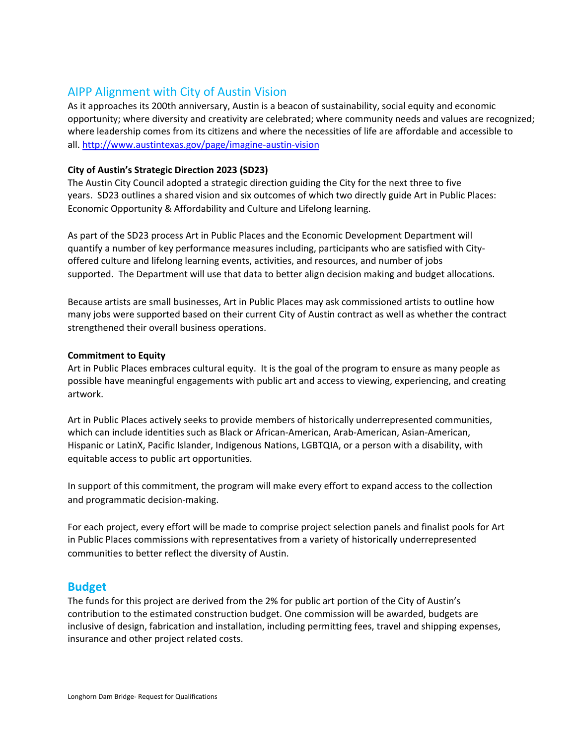## AIPP Alignment with City of Austin Vision

As it approaches its 200th anniversary, Austin is a beacon of sustainability, social equity and economic opportunity; where diversity and creativity are celebrated; where community needs and values are recognized; where leadership comes from its citizens and where the necessities of life are affordable and accessible to all[. http://www.austintexas.gov/page/imagine-austin-vision](http://www.austintexas.gov/page/imagine-austin-vision)

#### **City of Austin's Strategic Direction 2023 (SD23)**

The Austin City Council adopted a strategic direction guiding the City for the next three to five years. SD23 outlines a shared vision and six outcomes of which two directly guide Art in Public Places: Economic Opportunity & Affordability and Culture and Lifelong learning.

As part of the SD23 process Art in Public Places and the Economic Development Department will quantify a number of key performance measures including, participants who are satisfied with Cityoffered culture and lifelong learning events, activities, and resources, and number of jobs supported. The Department will use that data to better align decision making and budget allocations.

Because artists are small businesses, Art in Public Places may ask commissioned artists to outline how many jobs were supported based on their current City of Austin contract as well as whether the contract strengthened their overall business operations.

#### **Commitment to Equity**

Art in Public Places embraces cultural equity. It is the goal of the program to ensure as many people as possible have meaningful engagements with public art and access to viewing, experiencing, and creating artwork.

Art in Public Places actively seeks to provide members of historically underrepresented communities, which can include identities such as Black or African-American, Arab-American, Asian-American, Hispanic or LatinX, Pacific Islander, Indigenous Nations, LGBTQIA, or a person with a disability, with equitable access to public art opportunities.

In support of this commitment, the program will make every effort to expand access to the collection and programmatic decision-making.

For each project, every effort will be made to comprise project selection panels and finalist pools for Art in Public Places commissions with representatives from a variety of historically underrepresented communities to better reflect the diversity of Austin.

#### **Budget**

The funds for this project are derived from the 2% for public art portion of the City of Austin's contribution to the estimated construction budget. One commission will be awarded, budgets are inclusive of design, fabrication and installation, including permitting fees, travel and shipping expenses, insurance and other project related costs.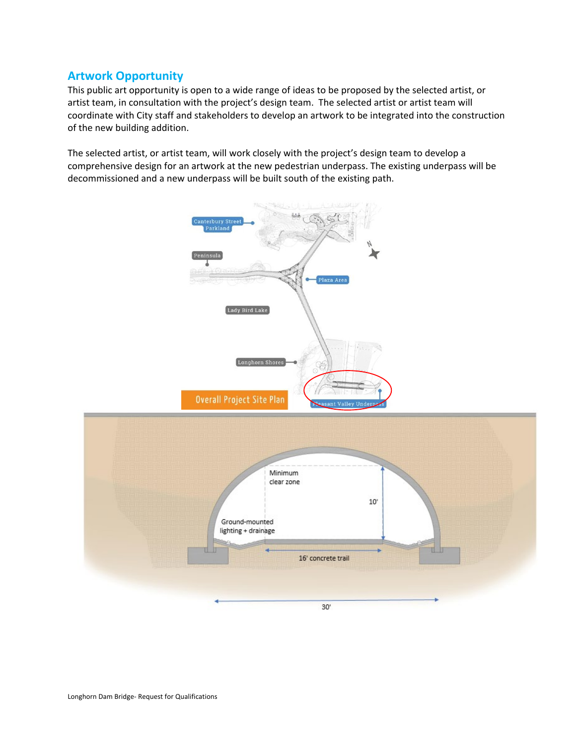## **Artwork Opportunity**

This public art opportunity is open to a wide range of ideas to be proposed by the selected artist, or artist team, in consultation with the project's design team. The selected artist or artist team will coordinate with City staff and stakeholders to develop an artwork to be integrated into the construction of the new building addition.

The selected artist, or artist team, will work closely with the project's design team to develop a comprehensive design for an artwork at the new pedestrian underpass. The existing underpass will be decommissioned and a new underpass will be built south of the existing path.

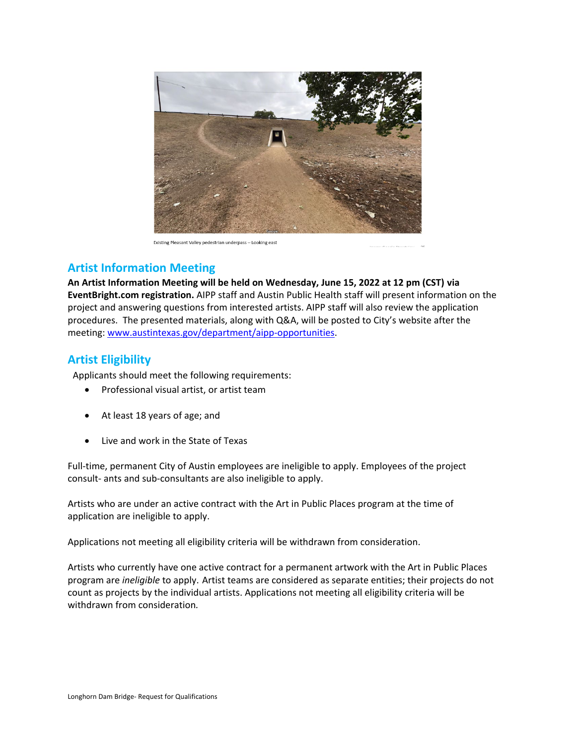

Existing Pleasant Valley pedestrian underpass - Looking east

## **Artist Information Meeting**

**An Artist Information Meeting will be held on Wednesday, June 15, 2022 at 12 pm (CST) via EventBright.com registration.** AIPP staff and Austin Public Health staff will present information on the project and answering questions from interested artists. AIPP staff will also review the application procedures. The presented materials, along with Q&A, will be posted to City's website after the meeting: [www.austintexas.gov/department/aipp-opportunities.](http://www.austintexas.gov/department/aipp-opportunities)

## **Artist Eligibility**

Applicants should meet the following requirements:

- Professional visual artist, or artist team
- At least 18 years of age; and
- Live and work in the State of Texas

Full-time, permanent City of Austin employees are ineligible to apply. Employees of the project consult- ants and sub-consultants are also ineligible to apply.

Artists who are under an active contract with the Art in Public Places program at the time of application are ineligible to apply.

Applications not meeting all eligibility criteria will be withdrawn from consideration.

Artists who currently have one active contract for a permanent artwork with the Art in Public Places program are *ineligible* to apply. Artist teams are considered as separate entities; their projects do not count as projects by the individual artists. Applications not meeting all eligibility criteria will be withdrawn from consideration*.*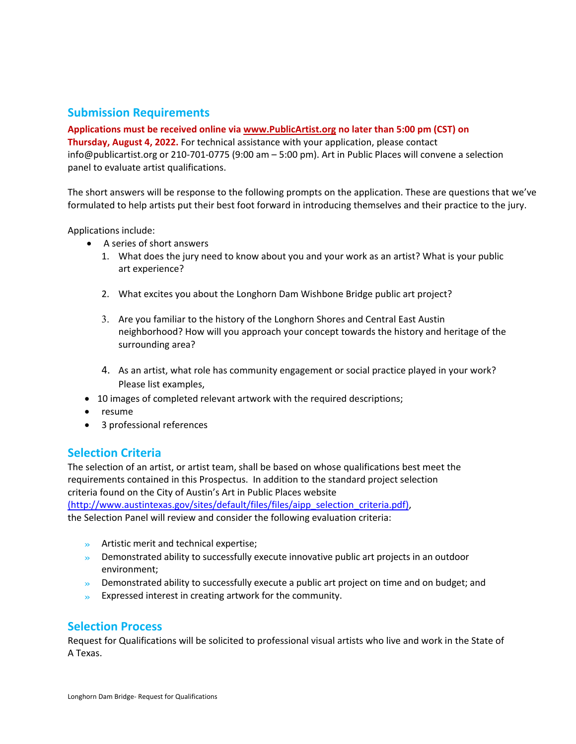### **Submission Requirements**

#### **Applications must be received online via [www.PublicArtist.org](http://www.publicartist.org/) no later than 5:00 pm (CST) on**

**Thursday, August 4, 2022.** For technical assistance with your application, please contact info@publicartist.org or 210-701-0775 (9:00 am – 5:00 pm). Art in Public Places will convene a selection panel to evaluate artist qualifications.

The short answers will be response to the following prompts on the application. These are questions that we've formulated to help artists put their best foot forward in introducing themselves and their practice to the jury.

Applications include:

- A series of short answers
	- 1. What does the jury need to know about you and your work as an artist? What is your public art experience?
	- 2. What excites you about the Longhorn Dam Wishbone Bridge public art project?
	- 3. Are you familiar to the history of the Longhorn Shores and Central East Austin neighborhood? How will you approach your concept towards the history and heritage of the surrounding area?
	- 4. As an artist, what role has community engagement or social practice played in your work? Please list examples,
- 10 images of completed relevant artwork with the required descriptions;
- resume
- 3 professional references

#### **Selection Criteria**

The selection of an artist, or artist team, shall be based on whose qualifications best meet the requirements contained in this Prospectus. In addition to the standard project selection criteria found on the City of Austin's Art in Public Places website

[\(http://www.austintexas.gov/sites/default/files/files/aipp\\_selection\\_criteria.pdf\),](https://cityofaustin.sharepoint.com/sites/ArtinPublicPlaces/Shared%20Documents/General/Current%20Projects/AB%20DoveSpringsHealth/01%20Dove%20Springs%20HC_Project%20Planning/(http:/www.austintexas.gov/sites/default/files/files/aipp_selection_criteria.pdf))

the Selection Panel will review and consider the following evaluation criteria:

- » Artistic merit and technical expertise;
- » Demonstrated ability to successfully execute innovative public art projects in an outdoor environment;
- » Demonstrated ability to successfully execute a public art project on time and on budget; and
- » Expressed interest in creating artwork for the community.

## **Selection Process**

Request for Qualifications will be solicited to professional visual artists who live and work in the State of A Texas.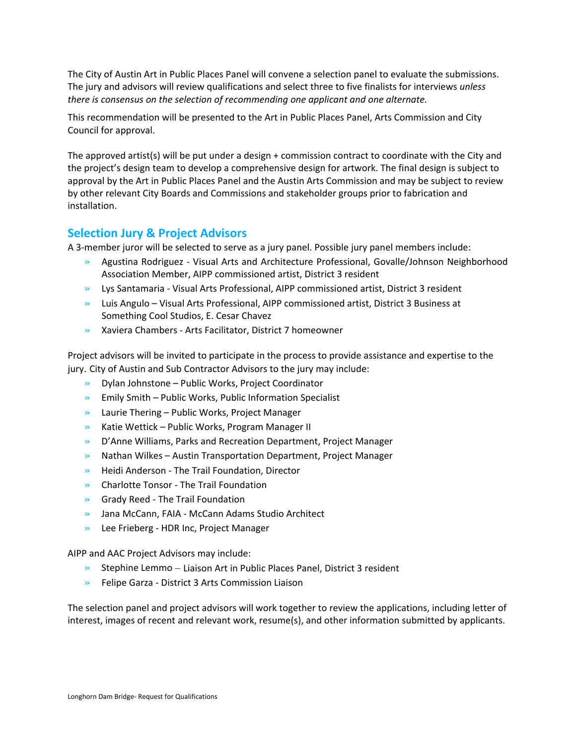The City of Austin Art in Public Places Panel will convene a selection panel to evaluate the submissions. The jury and advisors will review qualifications and select three to five finalists for interviews *unless there is consensus on the selection of recommending one applicant and one alternate.*

This recommendation will be presented to the Art in Public Places Panel, Arts Commission and City Council for approval.

The approved artist(s) will be put under a design + commission contract to coordinate with the City and the project's design team to develop a comprehensive design for artwork. The final design is subject to approval by the Art in Public Places Panel and the Austin Arts Commission and may be subject to review by other relevant City Boards and Commissions and stakeholder groups prior to fabrication and installation.

#### **Selection Jury & Project Advisors**

A 3-member juror will be selected to serve as a jury panel. Possible jury panel members include:

- » Agustina Rodriguez Visual Arts and Architecture Professional, Govalle/Johnson Neighborhood Association Member, AIPP commissioned artist, District 3 resident
- » Lys Santamaria Visual Arts Professional, AIPP commissioned artist, District 3 resident
- » Luis Angulo Visual Arts Professional, AIPP commissioned artist, District 3 Business at Something Cool Studios, E. Cesar Chavez
- » Xaviera Chambers Arts Facilitator, District 7 homeowner

Project advisors will be invited to participate in the process to provide assistance and expertise to the jury. City of Austin and Sub Contractor Advisors to the jury may include:

- » Dylan Johnstone Public Works, Project Coordinator
- $\gg$  Emily Smith Public Works, Public Information Specialist
- » Laurie Thering Public Works, Project Manager
- » Katie Wettick Public Works, Program Manager II
- » D'Anne Williams, Parks and Recreation Department, Project Manager
- $\gg$  Nathan Wilkes Austin Transportation Department, Project Manager
- » Heidi Anderson The Trail Foundation, Director
- » Charlotte Tonsor The Trail Foundation
- » Grady Reed The Trail Foundation
- » Jana McCann, FAIA McCann Adams Studio Architect
- » Lee Frieberg HDR Inc, Project Manager

AIPP and AAC Project Advisors may include:

- $\gg$  Stephine Lemmo Liaison Art in Public Places Panel, District 3 resident
- » Felipe Garza District 3 Arts Commission Liaison

The selection panel and project advisors will work together to review the applications, including letter of interest, images of recent and relevant work, resume(s), and other information submitted by applicants.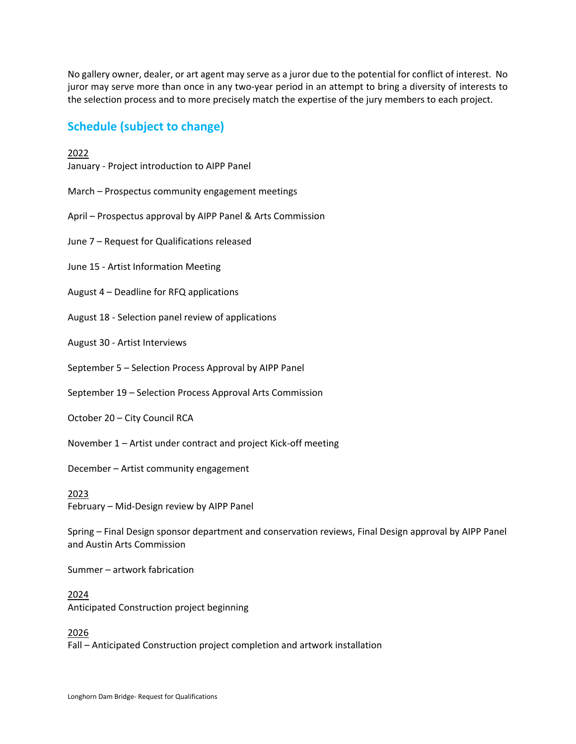No gallery owner, dealer, or art agent may serve as a juror due to the potential for conflict of interest. No juror may serve more than once in any two-year period in an attempt to bring a diversity of interests to the selection process and to more precisely match the expertise of the jury members to each project.

## **Schedule (subject to change)**

2022

January - Project introduction to AIPP Panel

- March Prospectus community engagement meetings
- April Prospectus approval by AIPP Panel & Arts Commission
- June 7 Request for Qualifications released
- June 15 Artist Information Meeting
- August 4 Deadline for RFQ applications
- August 18 Selection panel review of applications

August 30 - Artist Interviews

- September 5 Selection Process Approval by AIPP Panel
- September 19 Selection Process Approval Arts Commission
- October 20 City Council RCA
- November 1 Artist under contract and project Kick-off meeting

December – Artist community engagement

2023 February – Mid-Design review by AIPP Panel

Spring – Final Design sponsor department and conservation reviews, Final Design approval by AIPP Panel and Austin Arts Commission

Summer – artwork fabrication

2024 Anticipated Construction project beginning

2026

Fall – Anticipated Construction project completion and artwork installation